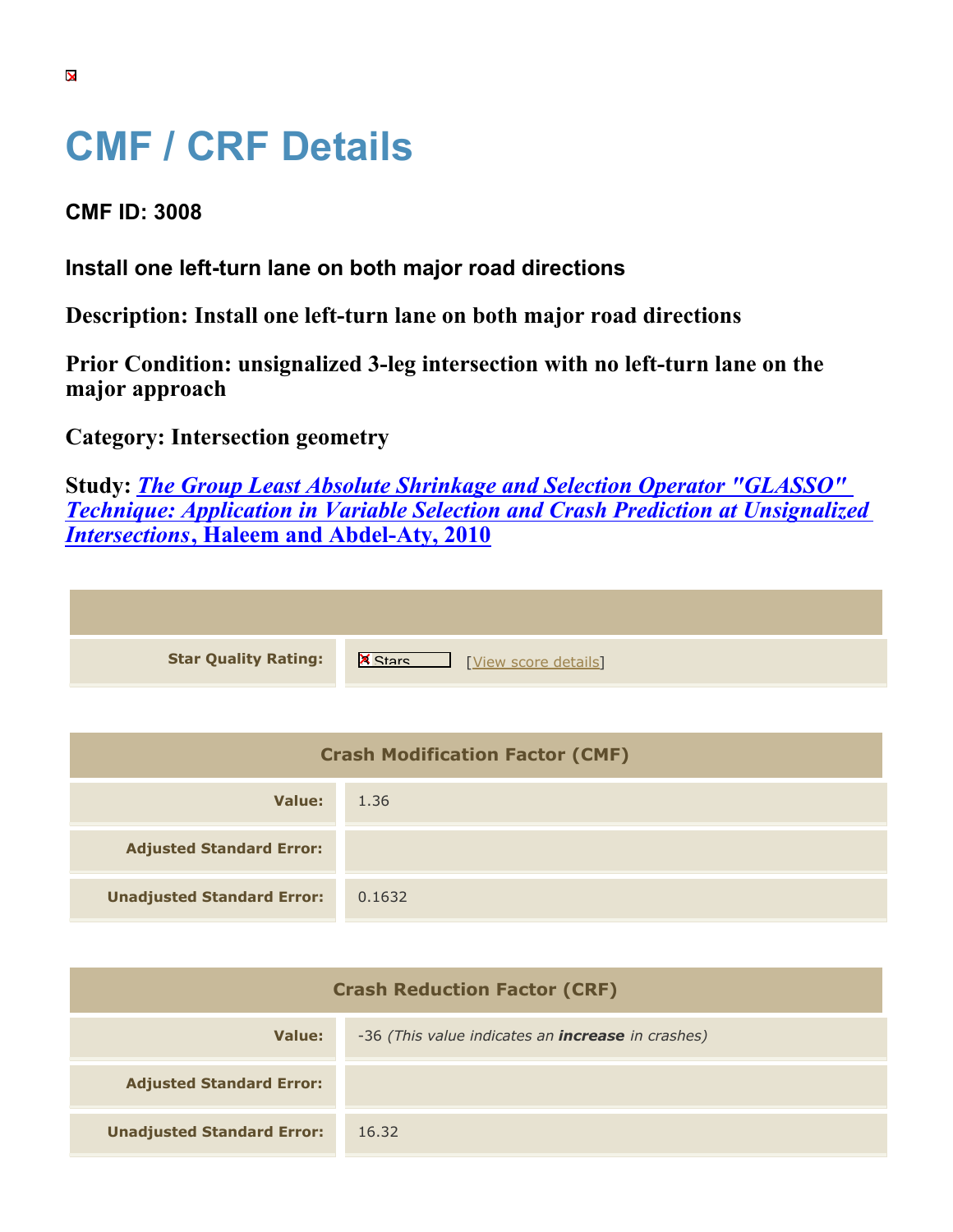## **CMF / CRF Details**

**CMF ID: 3008**

**Install one left-turn lane on both major road directions**

**Description: Install one left-turn lane on both major road directions**

**Prior Condition: unsignalized 3-leg intersection with no left-turn lane on the major approach**

**Category: Intersection geometry**

**Study:** *[The Group Least Absolute Shrinkage and Selection Operator "GLASSO"](https://cmfclearinghouse.org/study_detail.cfm?stid=209) [Technique: Application in Variable Selection and Crash Prediction at Unsignalized](https://cmfclearinghouse.org/study_detail.cfm?stid=209) [Intersections](https://cmfclearinghouse.org/study_detail.cfm?stid=209)***[, Haleem and Abdel-Aty, 2010](https://cmfclearinghouse.org/study_detail.cfm?stid=209)**

**Star Quality Rating:** X Wew score details]

| <b>Crash Modification Factor (CMF)</b> |        |  |
|----------------------------------------|--------|--|
| Value:                                 | 1.36   |  |
| <b>Adjusted Standard Error:</b>        |        |  |
| <b>Unadjusted Standard Error:</b>      | 0.1632 |  |

| <b>Crash Reduction Factor (CRF)</b> |                                                          |  |
|-------------------------------------|----------------------------------------------------------|--|
| Value:                              | -36 (This value indicates an <b>increase</b> in crashes) |  |
| <b>Adjusted Standard Error:</b>     |                                                          |  |
| <b>Unadjusted Standard Error:</b>   | 16.32                                                    |  |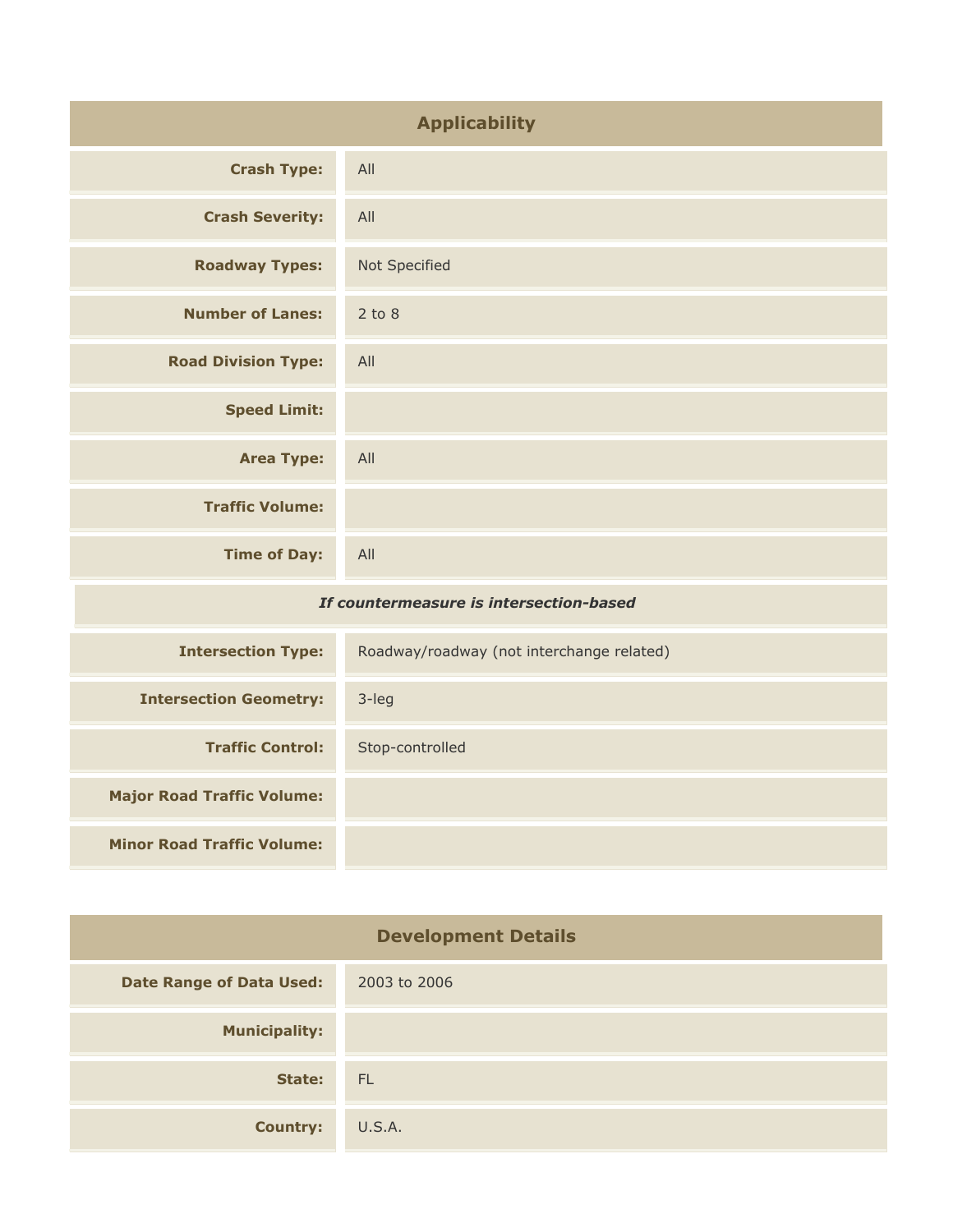| <b>Applicability</b>                    |                                           |
|-----------------------------------------|-------------------------------------------|
| <b>Crash Type:</b>                      | All                                       |
| <b>Crash Severity:</b>                  | All                                       |
| <b>Roadway Types:</b>                   | Not Specified                             |
| <b>Number of Lanes:</b>                 | $2$ to $8$                                |
| <b>Road Division Type:</b>              | All                                       |
| <b>Speed Limit:</b>                     |                                           |
| <b>Area Type:</b>                       | All                                       |
| <b>Traffic Volume:</b>                  |                                           |
| <b>Time of Day:</b>                     | All                                       |
| If countermeasure is intersection-based |                                           |
| <b>Intersection Type:</b>               | Roadway/roadway (not interchange related) |
| <b>Intersection Geometry:</b>           | 3-leg                                     |

| <b>Major Road Traffic Volume:</b> |              |
|-----------------------------------|--------------|
| <b>Minor Road Traffic Volume:</b> |              |
|                                   |              |
| <b>Development Details</b>        |              |
| <b>Date Range of Data Used:</b>   | 2003 to 2006 |
| <b>Municipality:</b>              |              |

**Traffic Control:** Stop-controlled

**State:** FL **Country:** U.S.A.